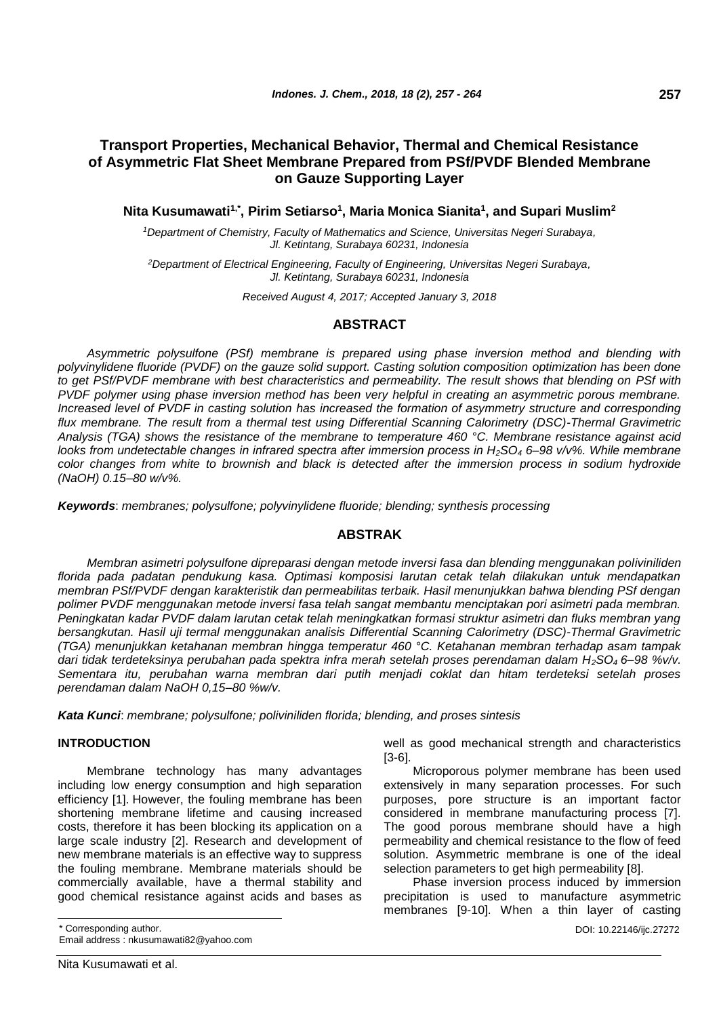# **Transport Properties, Mechanical Behavior, Thermal and Chemical Resistance of Asymmetric Flat Sheet Membrane Prepared from PSf/PVDF Blended Membrane on Gauze Supporting Layer**

**Nita Kusumawati1,\*, Pirim Setiarso<sup>1</sup> , Maria Monica Sianita<sup>1</sup> , and Supari Muslim<sup>2</sup>**

*<sup>1</sup>Department of Chemistry, Faculty of Mathematics and Science, Universitas Negeri Surabaya, Jl. Ketintang, Surabaya 60231, Indonesia*

*<sup>2</sup>Department of Electrical Engineering, Faculty of Engineering, Universitas Negeri Surabaya, Jl. Ketintang, Surabaya 60231, Indonesia*

*Received August 4, 2017; Accepted January 3, 2018*

# **ABSTRACT**

*Asymmetric polysulfone (PSf) membrane is prepared using phase inversion method and blending with polyvinylidene fluoride (PVDF) on the gauze solid support. Casting solution composition optimization has been done to get PSf/PVDF membrane with best characteristics and permeability. The result shows that blending on PSf with PVDF polymer using phase inversion method has been very helpful in creating an asymmetric porous membrane. Increased level of PVDF in casting solution has increased the formation of asymmetry structure and corresponding flux membrane. The result from a thermal test using Differential Scanning Calorimetry (DSC)-Thermal Gravimetric Analysis (TGA) shows the resistance of the membrane to temperature 460 °C. Membrane resistance against acid looks from undetectable changes in infrared spectra after immersion process in H2SO<sup>4</sup> 6–98 v/v%. While membrane color changes from white to brownish and black is detected after the immersion process in sodium hydroxide (NaOH) 0.15–80 w/v%.*

*Keywords*: *membranes; polysulfone; polyvinylidene fluoride; blending; synthesis processing*

# **ABSTRAK**

*Membran asimetri polysulfone dipreparasi dengan metode inversi fasa dan blending menggunakan poliviniliden florida pada padatan pendukung kasa. Optimasi komposisi larutan cetak telah dilakukan untuk mendapatkan membran PSf/PVDF dengan karakteristik dan permeabilitas terbaik. Hasil menunjukkan bahwa blending PSf dengan polimer PVDF menggunakan metode inversi fasa telah sangat membantu menciptakan pori asimetri pada membran. Peningkatan kadar PVDF dalam larutan cetak telah meningkatkan formasi struktur asimetri dan fluks membran yang bersangkutan. Hasil uji termal menggunakan analisis Differential Scanning Calorimetry (DSC)-Thermal Gravimetric (TGA) menunjukkan ketahanan membran hingga temperatur 460 °C. Ketahanan membran terhadap asam tampak dari tidak terdeteksinya perubahan pada spektra infra merah setelah proses perendaman dalam H2SO4 6–98 %v/v. Sementara itu, perubahan warna membran dari putih menjadi coklat dan hitam terdeteksi setelah proses perendaman dalam NaOH 0,15–80 %w/v.*

*Kata Kunci*: *membrane; polysulfone; poliviniliden florida; blending, and proses sintesis*

# **INTRODUCTION**

Membrane technology has many advantages including low energy consumption and high separation efficiency [1]. However, the fouling membrane has been shortening membrane lifetime and causing increased costs, therefore it has been blocking its application on a large scale industry [2]. Research and development of new membrane materials is an effective way to suppress the fouling membrane. Membrane materials should be commercially available, have a thermal stability and good chemical resistance against acids and bases as

\* Corresponding author.

Email address : nkusumawati82@yahoo.com

well as good mechanical strength and characteristics [3-6].

Microporous polymer membrane has been used extensively in many separation processes. For such purposes, pore structure is an important factor considered in membrane manufacturing process [7]. The good porous membrane should have a high permeability and chemical resistance to the flow of feed solution. Asymmetric membrane is one of the ideal selection parameters to get high permeability [8].

Phase inversion process induced by immersion precipitation is used to manufacture asymmetric membranes [9-10]. When a thin layer of casting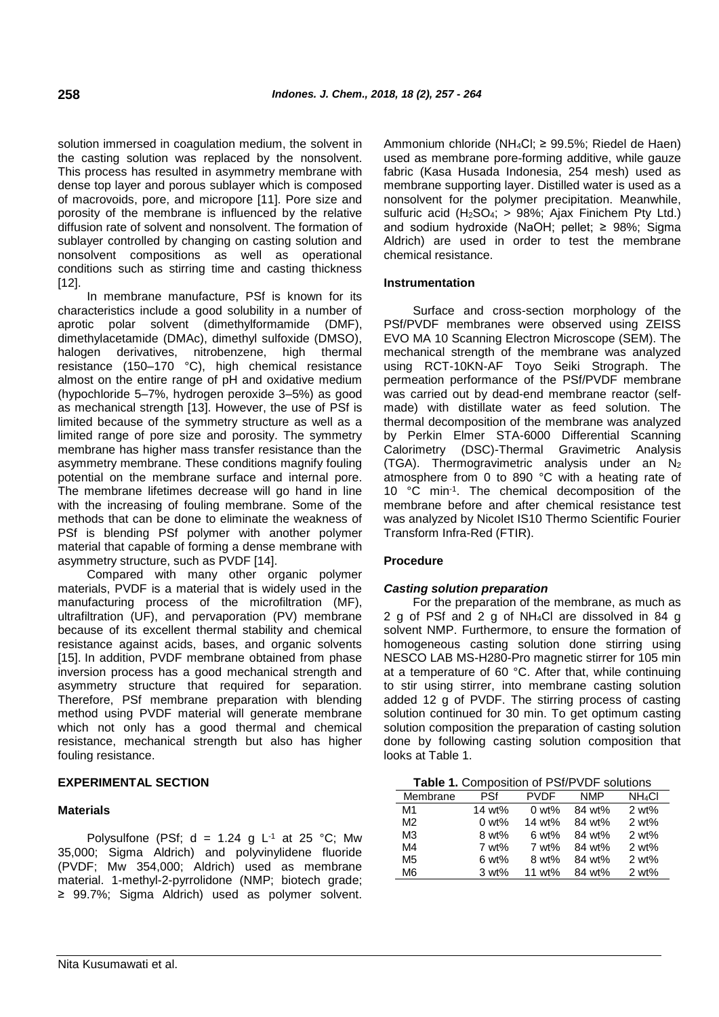solution immersed in coagulation medium, the solvent in the casting solution was replaced by the nonsolvent. This process has resulted in asymmetry membrane with dense top layer and porous sublayer which is composed of macrovoids, pore, and micropore [11]. Pore size and porosity of the membrane is influenced by the relative diffusion rate of solvent and nonsolvent. The formation of sublayer controlled by changing on casting solution and nonsolvent compositions as well as operational conditions such as stirring time and casting thickness [12].

In membrane manufacture, PSf is known for its characteristics include a good solubility in a number of aprotic polar solvent (dimethylformamide (DMF), dimethylacetamide (DMAc), dimethyl sulfoxide (DMSO), halogen derivatives, nitrobenzene, high thermal resistance (150–170 °C), high chemical resistance almost on the entire range of pH and oxidative medium (hypochloride 5–7%, hydrogen peroxide 3–5%) as good as mechanical strength [13]. However, the use of PSf is limited because of the symmetry structure as well as a limited range of pore size and porosity. The symmetry membrane has higher mass transfer resistance than the asymmetry membrane. These conditions magnify fouling potential on the membrane surface and internal pore. The membrane lifetimes decrease will go hand in line with the increasing of fouling membrane. Some of the methods that can be done to eliminate the weakness of PSf is blending PSf polymer with another polymer material that capable of forming a dense membrane with asymmetry structure, such as PVDF [14].

Compared with many other organic polymer materials, PVDF is a material that is widely used in the manufacturing process of the microfiltration (MF), ultrafiltration (UF), and pervaporation (PV) membrane because of its excellent thermal stability and chemical resistance against acids, bases, and organic solvents [15]. In addition, PVDF membrane obtained from phase inversion process has a good mechanical strength and asymmetry structure that required for separation. Therefore, PSf membrane preparation with blending method using PVDF material will generate membrane which not only has a good thermal and chemical resistance, mechanical strength but also has higher fouling resistance.

# **EXPERIMENTAL SECTION**

# **Materials**

Polysulfone (PSf;  $d = 1.24$  g L<sup>-1</sup> at 25 °C; Mw 35,000; Sigma Aldrich) and polyvinylidene fluoride (PVDF; Mw 354,000; Aldrich) used as membrane material. 1-methyl-2-pyrrolidone (NMP; biotech grade; ≥ 99.7%; Sigma Aldrich) used as polymer solvent.

Ammonium chloride (NH<sub>4</sub>Cl;  $\geq$  99.5%; Riedel de Haen) used as membrane pore-forming additive, while gauze fabric (Kasa Husada Indonesia, 254 mesh) used as membrane supporting layer. Distilled water is used as a nonsolvent for the polymer precipitation. Meanwhile, sulfuric acid  $(H<sub>2</sub>SO<sub>4</sub>; > 98%$ : Ajax Finichem Pty Ltd.) and sodium hydroxide (NaOH; pellet; ≥ 98%; Sigma Aldrich) are used in order to test the membrane chemical resistance.

### **Instrumentation**

Surface and cross-section morphology of the PSf/PVDF membranes were observed using ZEISS EVO MA 10 Scanning Electron Microscope (SEM). The mechanical strength of the membrane was analyzed using RCT-10KN-AF Toyo Seiki Strograph. The permeation performance of the PSf/PVDF membrane was carried out by dead-end membrane reactor (selfmade) with distillate water as feed solution. The thermal decomposition of the membrane was analyzed by Perkin Elmer STA-6000 Differential Scanning Calorimetry (DSC)-Thermal Gravimetric Analysis (TGA). Thermogravimetric analysis under an N<sup>2</sup> atmosphere from 0 to 890 °C with a heating rate of 10 °C min-1 . The chemical decomposition of the membrane before and after chemical resistance test was analyzed by Nicolet IS10 Thermo Scientific Fourier Transform Infra-Red (FTIR).

# **Procedure**

# *Casting solution preparation*

For the preparation of the membrane, as much as 2 g of PSf and 2 g of NH4Cl are dissolved in 84 g solvent NMP. Furthermore, to ensure the formation of homogeneous casting solution done stirring using NESCO LAB MS-H280-Pro magnetic stirrer for 105 min at a temperature of 60 °C. After that, while continuing to stir using stirrer, into membrane casting solution added 12 g of PVDF. The stirring process of casting solution continued for 30 min. To get optimum casting solution composition the preparation of casting solution done by following casting solution composition that looks at Table 1.

|  |  | <b>Table 1. Composition of PSf/PVDF solutions</b> |  |
|--|--|---------------------------------------------------|--|
|--|--|---------------------------------------------------|--|

| Membrane       | <b>PSf</b> | <b>PVDF</b>      | NMP    | NH <sub>4</sub> CI |  |  |
|----------------|------------|------------------|--------|--------------------|--|--|
| M1             | 14 wt%     | $0 \text{ wt\%}$ | 84 wt% | $2 wt\%$           |  |  |
| M2             | $0 w t$ %  | 14 $wt\%$        | 84 wt% | 2 wt%              |  |  |
| M <sub>3</sub> | 8 wt%      | $6 w t$ %        | 84 wt% | 2 wt%              |  |  |
| M4             | 7 wt%      | 7 wt%            | 84 wt% | 2 wt%              |  |  |
| M <sub>5</sub> | $6 w t$ %  | $8 wt\%$         | 84 wt% | 2 wt%              |  |  |
| M <sub>6</sub> | $3 w t$ %  | 11 $wt\%$        | 84 wt% | 2 wt%              |  |  |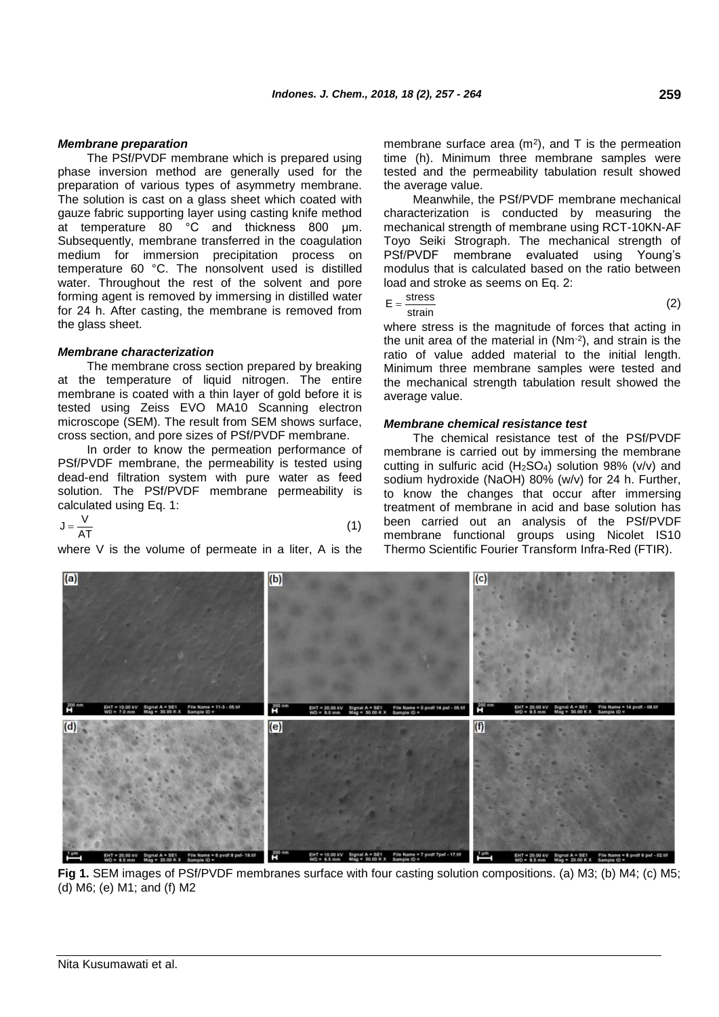### *Membrane preparation*

The PSf/PVDF membrane which is prepared using phase inversion method are generally used for the preparation of various types of asymmetry membrane. The solution is cast on a glass sheet which coated with gauze fabric supporting layer using casting knife method at temperature 80 °C and thickness 800 μm. Subsequently, membrane transferred in the coagulation medium for immersion precipitation process on temperature 60 °C. The nonsolvent used is distilled water. Throughout the rest of the solvent and pore forming agent is removed by immersing in distilled water for 24 h. After casting, the membrane is removed from the glass sheet.

### *Membrane characterization*

The membrane cross section prepared by breaking at the temperature of liquid nitrogen. The entire membrane is coated with a thin layer of gold before it is tested using Zeiss EVO MA10 Scanning electron microscope (SEM). The result from SEM shows surface, cross section, and pore sizes of PSf/PVDF membrane.

In order to know the permeation performance of PSf/PVDF membrane, the permeability is tested using dead-end filtration system with pure water as feed solution. The PSf/PVDF membrane permeability is calculated using Eq. 1:

$$
J = \frac{V}{AT}
$$
 (1)

where V is the volume of permeate in a liter, A is the

membrane surface area  $(m^2)$ , and T is the permeation time (h). Minimum three membrane samples were tested and the permeability tabulation result showed the average value.

Meanwhile, the PSf/PVDF membrane mechanical characterization is conducted by measuring the mechanical strength of membrane using RCT-10KN-AF Toyo Seiki Strograph. The mechanical strength of PSf/PVDF membrane evaluated using Young's modulus that is calculated based on the ratio between load and stroke as seems on Eq. 2:

$$
E = \frac{\text{stress}}{\text{strain}} \tag{2}
$$

where stress is the magnitude of forces that acting in the unit area of the material in  $(Nm^{-2})$ , and strain is the ratio of value added material to the initial length. Minimum three membrane samples were tested and the mechanical strength tabulation result showed the average value.

### *Membrane chemical resistance test*

The chemical resistance test of the PSf/PVDF membrane is carried out by immersing the membrane cutting in sulfuric acid (H2SO4) solution 98% (v/v) and sodium hydroxide (NaOH) 80% (w/v) for 24 h. Further, to know the changes that occur after immersing treatment of membrane in acid and base solution has been carried out an analysis of the PSf/PVDF membrane functional groups using Nicolet IS10 Thermo Scientific Fourier Transform Infra-Red (FTIR).



**Fig 1.** SEM images of PSf/PVDF membranes surface with four casting solution compositions. (a) M3; (b) M4; (c) M5; (d) M6; (e) M1; and (f) M2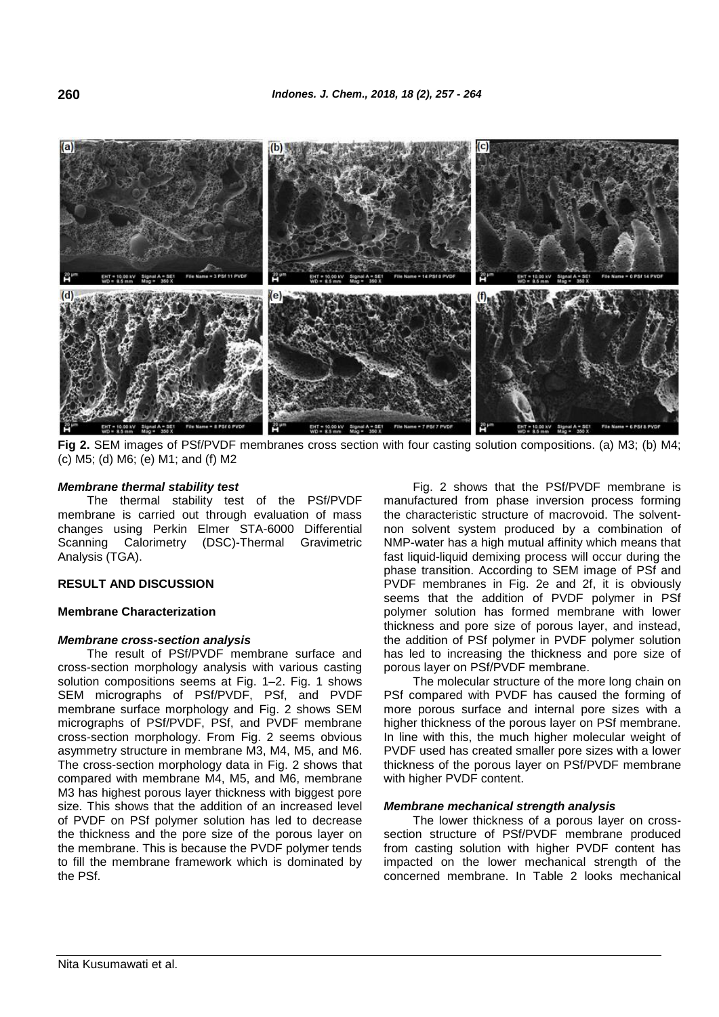

**Fig 2.** SEM images of PSf/PVDF membranes cross section with four casting solution compositions. (a) M3; (b) M4; (c) M5; (d) M6; (e) M1; and (f) M2

### *Membrane thermal stability test*

The thermal stability test of the PSf/PVDF membrane is carried out through evaluation of mass changes using Perkin Elmer STA-6000 Differential Scanning Calorimetry (DSC)-Thermal Gravimetric Analysis (TGA).

# **RESULT AND DISCUSSION**

#### **Membrane Characterization**

### *Membrane cross-section analysis*

The result of PSf/PVDF membrane surface and cross-section morphology analysis with various casting solution compositions seems at Fig. 1–2. Fig. 1 shows SEM micrographs of PSf/PVDF, PSf, and PVDF membrane surface morphology and Fig. 2 shows SEM micrographs of PSf/PVDF, PSf, and PVDF membrane cross-section morphology. From Fig. 2 seems obvious asymmetry structure in membrane M3, M4, M5, and M6. The cross-section morphology data in Fig. 2 shows that compared with membrane M4, M5, and M6, membrane M3 has highest porous layer thickness with biggest pore size. This shows that the addition of an increased level of PVDF on PSf polymer solution has led to decrease the thickness and the pore size of the porous layer on the membrane. This is because the PVDF polymer tends to fill the membrane framework which is dominated by the PSf.

Fig. 2 shows that the PSf/PVDF membrane is manufactured from phase inversion process forming the characteristic structure of macrovoid. The solventnon solvent system produced by a combination of NMP-water has a high mutual affinity which means that fast liquid-liquid demixing process will occur during the phase transition. According to SEM image of PSf and PVDF membranes in Fig. 2e and 2f, it is obviously seems that the addition of PVDF polymer in PSf polymer solution has formed membrane with lower thickness and pore size of porous layer, and instead, the addition of PSf polymer in PVDF polymer solution has led to increasing the thickness and pore size of porous layer on PSf/PVDF membrane.

The molecular structure of the more long chain on PSf compared with PVDF has caused the forming of more porous surface and internal pore sizes with a higher thickness of the porous layer on PSf membrane. In line with this, the much higher molecular weight of PVDF used has created smaller pore sizes with a lower thickness of the porous layer on PSf/PVDF membrane with higher PVDF content.

#### *Membrane mechanical strength analysis*

The lower thickness of a porous layer on crosssection structure of PSf/PVDF membrane produced from casting solution with higher PVDF content has impacted on the lower mechanical strength of the concerned membrane. In Table 2 looks mechanical

**260**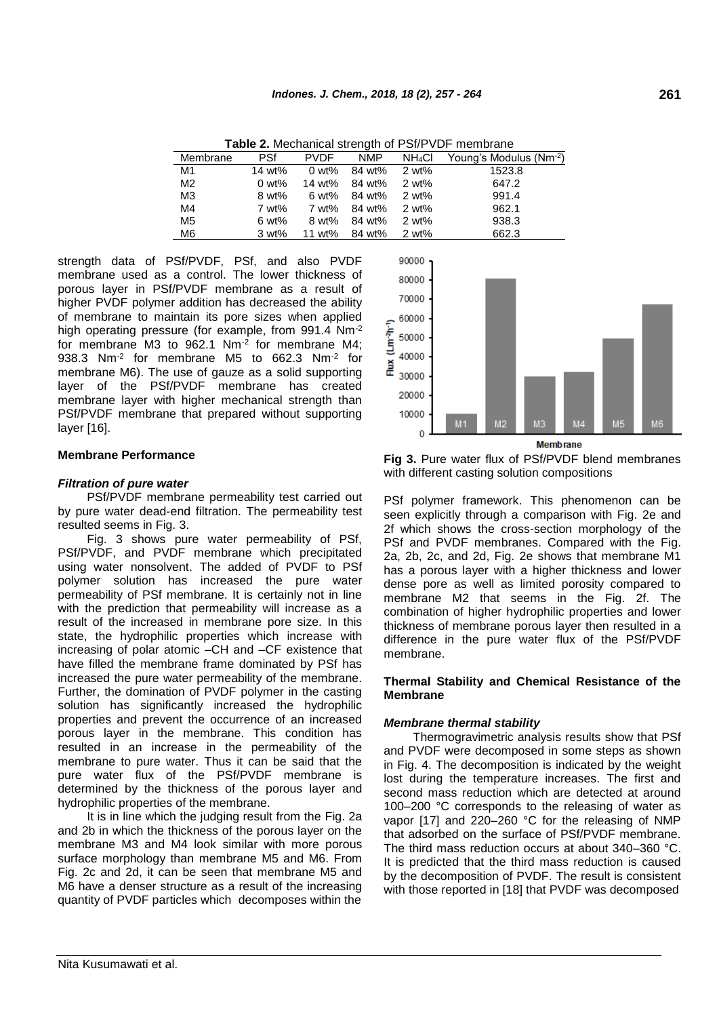| <b>Table 2.</b> Meditation strength of FSI/FVDF membratie |                  |             |                               |       |                                                            |  |
|-----------------------------------------------------------|------------------|-------------|-------------------------------|-------|------------------------------------------------------------|--|
| Membrane                                                  | PSf              | <b>PVDF</b> |                               |       | NMP NH <sub>4</sub> Cl Young's Modulus (Nm <sup>-2</sup> ) |  |
| M1                                                        | 14 wt%           |             | 0 wt% $84$ wt% $2$ wt%        |       | 1523.8                                                     |  |
| M2                                                        | $0 \text{ wt\%}$ |             | 14 wt% 84 wt%                 | 2 wt% | 647.2                                                      |  |
| ΜЗ                                                        | 8 wt%            |             | 6 wt% $84 \text{ wt\%}$ 2 wt% |       | 991.4                                                      |  |
| M4                                                        | 7 wt%            |             | 7 wt% 84 wt%                  | 2 wt% | 962.1                                                      |  |
| M5                                                        | 6 wt%            |             | 8 wt% 84 wt% 2 wt%            |       | 938.3                                                      |  |
| M6                                                        | 3 wt%            |             | 11 wt% 84 wt% 2 wt%           |       | 662.3                                                      |  |

**Table 2.** Mechanical strength of PSf/PVDF membrane

strength data of PSf/PVDF, PSf, and also PVDF membrane used as a control. The lower thickness of porous layer in PSf/PVDF membrane as a result of higher PVDF polymer addition has decreased the ability of membrane to maintain its pore sizes when applied high operating pressure (for example, from 991.4 Nm-2 for membrane M3 to 962.1 Nm-2 for membrane M4; 938.3 Nm<sup>-2</sup> for membrane M5 to 662.3 Nm<sup>-2</sup> for membrane M6). The use of gauze as a solid supporting layer of the PSf/PVDF membrane has created membrane layer with higher mechanical strength than PSf/PVDF membrane that prepared without supporting layer [16].

# **Membrane Performance**

# *Filtration of pure water*

PSf/PVDF membrane permeability test carried out by pure water dead-end filtration. The permeability test resulted seems in Fig. 3.

Fig. 3 shows pure water permeability of PSf, PSf/PVDF, and PVDF membrane which precipitated using water nonsolvent. The added of PVDF to PSf polymer solution has increased the pure water permeability of PSf membrane. It is certainly not in line with the prediction that permeability will increase as a result of the increased in membrane pore size. In this state, the hydrophilic properties which increase with increasing of polar atomic –CH and –CF existence that have filled the membrane frame dominated by PSf has increased the pure water permeability of the membrane. Further, the domination of PVDF polymer in the casting solution has significantly increased the hydrophilic properties and prevent the occurrence of an increased porous layer in the membrane. This condition has resulted in an increase in the permeability of the membrane to pure water. Thus it can be said that the pure water flux of the PSf/PVDF membrane is determined by the thickness of the porous layer and hydrophilic properties of the membrane.

It is in line which the judging result from the Fig. 2a and 2b in which the thickness of the porous layer on the membrane M3 and M4 look similar with more porous surface morphology than membrane M5 and M6. From Fig. 2c and 2d, it can be seen that membrane M5 and M6 have a denser structure as a result of the increasing quantity of PVDF particles which decomposes within the



**Fig 3.** Pure water flux of PSf/PVDF blend membranes with different casting solution compositions

PSf polymer framework. This phenomenon can be seen explicitly through a comparison with Fig. 2e and 2f which shows the cross-section morphology of the PSf and PVDF membranes. Compared with the Fig. 2a, 2b, 2c, and 2d, Fig. 2e shows that membrane M1 has a porous layer with a higher thickness and lower dense pore as well as limited porosity compared to membrane M2 that seems in the Fig. 2f. The combination of higher hydrophilic properties and lower thickness of membrane porous layer then resulted in a difference in the pure water flux of the PSf/PVDF membrane.

# **Thermal Stability and Chemical Resistance of the Membrane**

# *Membrane thermal stability*

Thermogravimetric analysis results show that PSf and PVDF were decomposed in some steps as shown in Fig. 4. The decomposition is indicated by the weight lost during the temperature increases. The first and second mass reduction which are detected at around 100–200 °C corresponds to the releasing of water as vapor [17] and 220–260 °C for the releasing of NMP that adsorbed on the surface of PSf/PVDF membrane. The third mass reduction occurs at about 340–360 °C. It is predicted that the third mass reduction is caused by the decomposition of PVDF. The result is consistent with those reported in [18] that PVDF was decomposed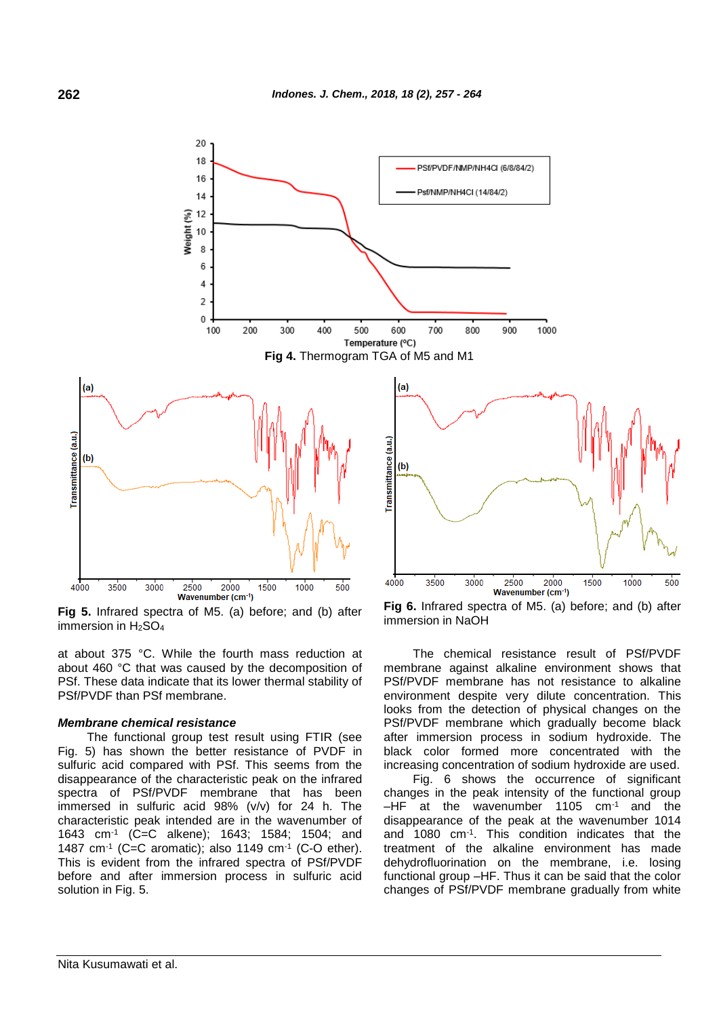

**Fig 5.** Infrared spectra of M5. (a) before; and (b) after immersion in H2SO<sup>4</sup>

at about 375 °C. While the fourth mass reduction at about 460 °C that was caused by the decomposition of PSf. These data indicate that its lower thermal stability of PSf/PVDF than PSf membrane.

### *Membrane chemical resistance*

The functional group test result using FTIR (see Fig. 5) has shown the better resistance of PVDF in sulfuric acid compared with PSf. This seems from the disappearance of the characteristic peak on the infrared spectra of PSf/PVDF membrane that has been immersed in sulfuric acid 98% (v/v) for 24 h. The characteristic peak intended are in the wavenumber of 1643 cm-1 (C=C alkene); 1643; 1584; 1504; and 1487 cm-1 (C=C aromatic); also 1149 cm-1 (C-O ether). This is evident from the infrared spectra of PSf/PVDF before and after immersion process in sulfuric acid solution in Fig. 5.

**Fig 6.** Infrared spectra of M5. (a) before; and (b) after immersion in NaOH

The chemical resistance result of PSf/PVDF membrane against alkaline environment shows that PSf/PVDF membrane has not resistance to alkaline environment despite very dilute concentration. This looks from the detection of physical changes on the PSf/PVDF membrane which gradually become black after immersion process in sodium hydroxide. The black color formed more concentrated with the increasing concentration of sodium hydroxide are used.

Fig. 6 shows the occurrence of significant changes in the peak intensity of the functional group  $-HF$  at the wavenumber 1105  $cm^{-1}$  and the disappearance of the peak at the wavenumber 1014 and 1080 cm-1 . This condition indicates that the treatment of the alkaline environment has made dehydrofluorination on the membrane, i.e. losing functional group –HF. Thus it can be said that the color changes of PSf/PVDF membrane gradually from white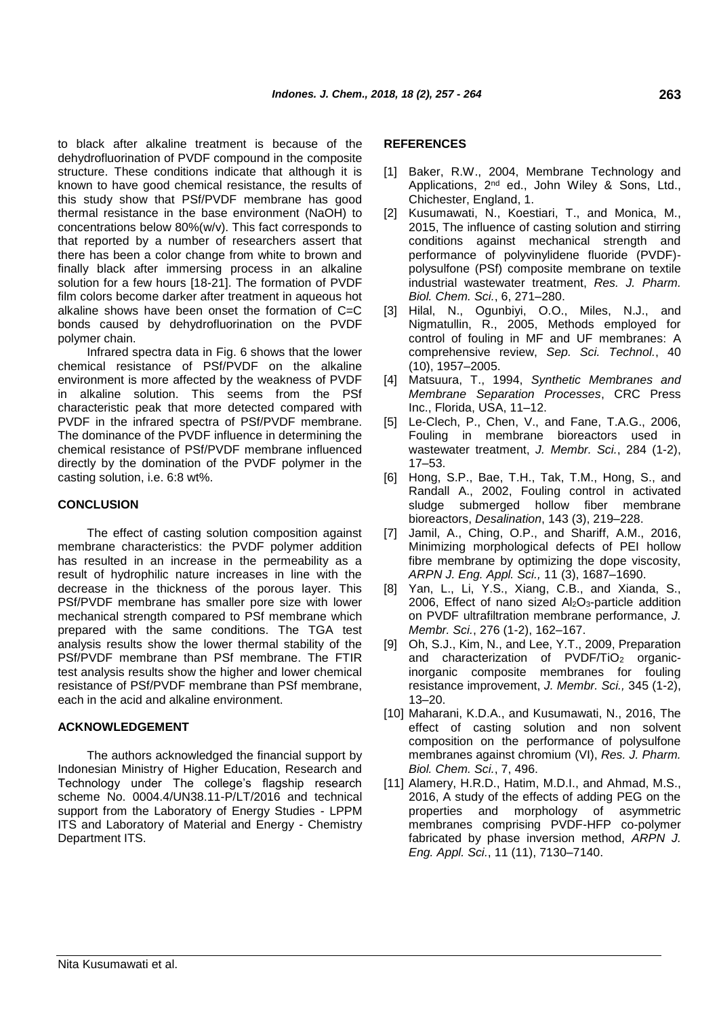to black after alkaline treatment is because of the dehydrofluorination of PVDF compound in the composite structure. These conditions indicate that although it is known to have good chemical resistance, the results of this study show that PSf/PVDF membrane has good thermal resistance in the base environment (NaOH) to concentrations below 80%(w/v). This fact corresponds to that reported by a number of researchers assert that there has been a color change from white to brown and finally black after immersing process in an alkaline solution for a few hours [18-21]. The formation of PVDF film colors become darker after treatment in aqueous hot alkaline shows have been onset the formation of C=C bonds caused by dehydrofluorination on the PVDF polymer chain.

Infrared spectra data in Fig. 6 shows that the lower chemical resistance of PSf/PVDF on the alkaline environment is more affected by the weakness of PVDF in alkaline solution. This seems from the PSf characteristic peak that more detected compared with PVDF in the infrared spectra of PSf/PVDF membrane. The dominance of the PVDF influence in determining the chemical resistance of PSf/PVDF membrane influenced directly by the domination of the PVDF polymer in the casting solution, i.e. 6:8 wt%.

# **CONCLUSION**

The effect of casting solution composition against membrane characteristics: the PVDF polymer addition has resulted in an increase in the permeability as a result of hydrophilic nature increases in line with the decrease in the thickness of the porous layer. This PSf/PVDF membrane has smaller pore size with lower mechanical strength compared to PSf membrane which prepared with the same conditions. The TGA test analysis results show the lower thermal stability of the PSf/PVDF membrane than PSf membrane. The FTIR test analysis results show the higher and lower chemical resistance of PSf/PVDF membrane than PSf membrane, each in the acid and alkaline environment.

# **ACKNOWLEDGEMENT**

The authors acknowledged the financial support by Indonesian Ministry of Higher Education, Research and Technology under The college's flagship research scheme No. 0004.4/UN38.11-P/LT/2016 and technical support from the Laboratory of Energy Studies - LPPM ITS and Laboratory of Material and Energy - Chemistry Department ITS.

# **REFERENCES**

- [1] Baker, R.W., 2004, Membrane Technology and Applications, 2<sup>nd</sup> ed., John Wiley & Sons, Ltd., Chichester, England, 1.
- [2] Kusumawati, N., Koestiari, T., and Monica, M., 2015, The influence of casting solution and stirring conditions against mechanical strength and performance of polyvinylidene fluoride (PVDF) polysulfone (PSf) composite membrane on textile industrial wastewater treatment, *Res. J. Pharm. Biol. Chem. Sci.*, 6, 271–280.
- [3] Hilal, N., Ogunbiyi, O.O., Miles, N.J., and Nigmatullin, R., 2005, Methods employed for control of fouling in MF and UF membranes: A comprehensive review, *Sep. Sci. Technol.*, 40 (10), 1957–2005.
- [4] Matsuura, T., 1994, *Synthetic Membranes and Membrane Separation Processes*, CRC Press Inc., Florida, USA, 11–12.
- [5] Le-Clech, P., Chen, V., and Fane, T.A.G., 2006, Fouling in membrane bioreactors used in wastewater treatment, *J. Membr. Sci.*, 284 (1-2), 17–53.
- [6] Hong, S.P., Bae, T.H., Tak, T.M., Hong, S., and Randall A., 2002, Fouling control in activated sludge submerged hollow fiber membrane bioreactors, *Desalination*, 143 (3), 219–228.
- [7] Jamil, A., Ching, O.P., and Shariff, A.M., 2016, Minimizing morphological defects of PEI hollow fibre membrane by optimizing the dope viscosity, *ARPN J. Eng. Appl. Sci.,* 11 (3), 1687–1690.
- [8] Yan, L., Li, Y.S., Xiang, C.B., and Xianda, S., 2006, Effect of nano sized  $Al_2O_3$ -particle addition on PVDF ultrafiltration membrane performance, *J. Membr. Sci.*, 276 (1-2), 162–167.
- [9] Oh, S.J., Kim, N., and Lee, Y.T., 2009, Preparation and characterization of PVDF/TiO<sub>2</sub> organicinorganic composite membranes for fouling resistance improvement, *J. Membr. Sci.,* 345 (1-2), 13–20.
- [10] Maharani, K.D.A., and Kusumawati, N., 2016, The effect of casting solution and non solvent composition on the performance of polysulfone membranes against chromium (VI), *Res. J. Pharm. Biol. Chem. Sci.*, 7, 496.
- [11] Alamery, H.R.D., Hatim, M.D.I., and Ahmad, M.S., 2016, A study of the effects of adding PEG on the properties and morphology of asymmetric membranes comprising PVDF-HFP co-polymer fabricated by phase inversion method, *ARPN J. Eng. Appl. Sci.*, 11 (11), 7130–7140.